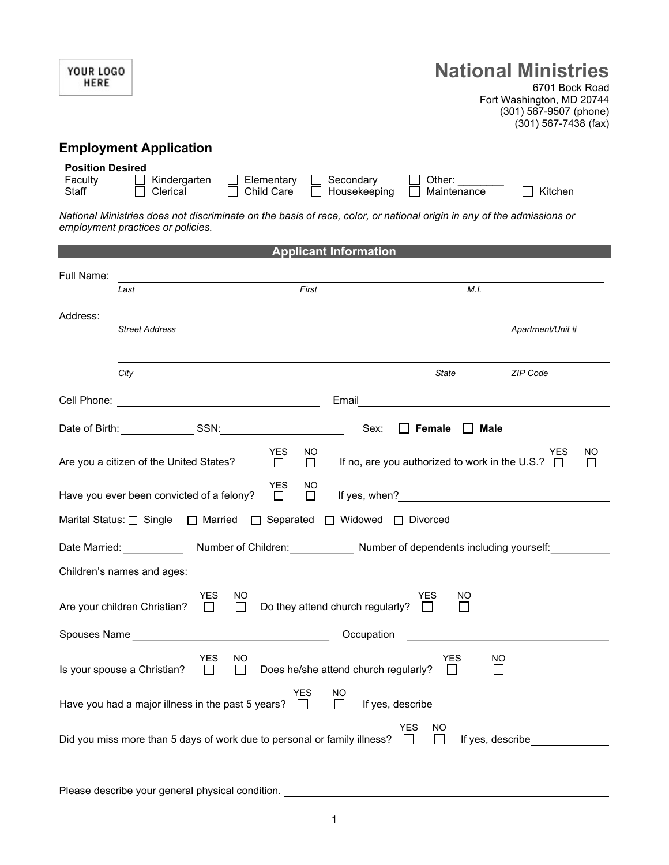| <b>YOUR LOGO</b><br><b>HERE</b>                                                                            | <b>National Ministries</b><br>6701 Bock Road<br>Fort Washington, MD 20744<br>(301) 567-9507 (phone)<br>$(301)$ 567-7438 (fax)                                                                 |
|------------------------------------------------------------------------------------------------------------|-----------------------------------------------------------------------------------------------------------------------------------------------------------------------------------------------|
| <b>Employment Application</b>                                                                              |                                                                                                                                                                                               |
| <b>Position Desired</b><br>Faculty<br>Kindergarten<br>Elementary<br>Clerical<br>Child Care<br><b>Staff</b> | Secondary<br>Other: $\_\_$<br>Housekeeping<br>Kitchen<br>Maintenance<br>National Ministries does not discriminate on the basis of race, color, or national origin in any of the admissions or |
| employment practices or policies.                                                                          |                                                                                                                                                                                               |
|                                                                                                            | <b>Applicant Information</b>                                                                                                                                                                  |
| Full Name:                                                                                                 | First<br>M.I.                                                                                                                                                                                 |
| Last                                                                                                       |                                                                                                                                                                                               |
| Address:<br><b>Street Address</b>                                                                          | Apartment/Unit #                                                                                                                                                                              |
|                                                                                                            |                                                                                                                                                                                               |
| City                                                                                                       | State<br><b>ZIP Code</b>                                                                                                                                                                      |
|                                                                                                            | Email                                                                                                                                                                                         |
| Date of Birth: SSN:                                                                                        | Sex:<br>Male<br>Female<br>$\mathbf{1}$                                                                                                                                                        |
| YES<br>Are you a citizen of the United States?<br>$\Box$                                                   | NO.<br>NO<br>YES<br>If no, are you authorized to work in the U.S.? $\Box$<br>$\Box$<br>⊔                                                                                                      |
| <b>YES</b><br>Have you ever been convicted of a felony?<br>□                                               | NO.<br>$\Box$                                                                                                                                                                                 |
| Marital Status: [ Single   C Married   C Separated   C Widowed   C Divorced                                |                                                                                                                                                                                               |
|                                                                                                            | Date Married: __________________Number of Children: ______________Number of dependents including yourself: _________                                                                          |
|                                                                                                            |                                                                                                                                                                                               |
| YES.<br>NO.<br>$\Box$<br>Are your children Christian?<br>$\Box$                                            | <b>YES</b><br>NO<br>Do they attend church regularly? $\Box$<br>$\Box$                                                                                                                         |
|                                                                                                            | Occupation<br><u> 1980 - Antonio Alemania, presidente de la conte</u>                                                                                                                         |
| <b>YES</b><br>NO<br>Is your spouse a Christian? $\Box$<br>$\Box$                                           | <b>YES</b><br><b>NO</b><br>Does he/she attend church regularly? $\square$<br>$\Box$                                                                                                           |
| YES.<br>Have you had a major illness in the past 5 years? $\Box$                                           | NO.<br>$\Box$                                                                                                                                                                                 |
| Did you miss more than 5 days of work due to personal or family illness? $\Box$                            | YES.<br>NO.<br>If yes, describe<br>$\Box$                                                                                                                                                     |
| Please describe your general physical condition. ________________________________                          |                                                                                                                                                                                               |

1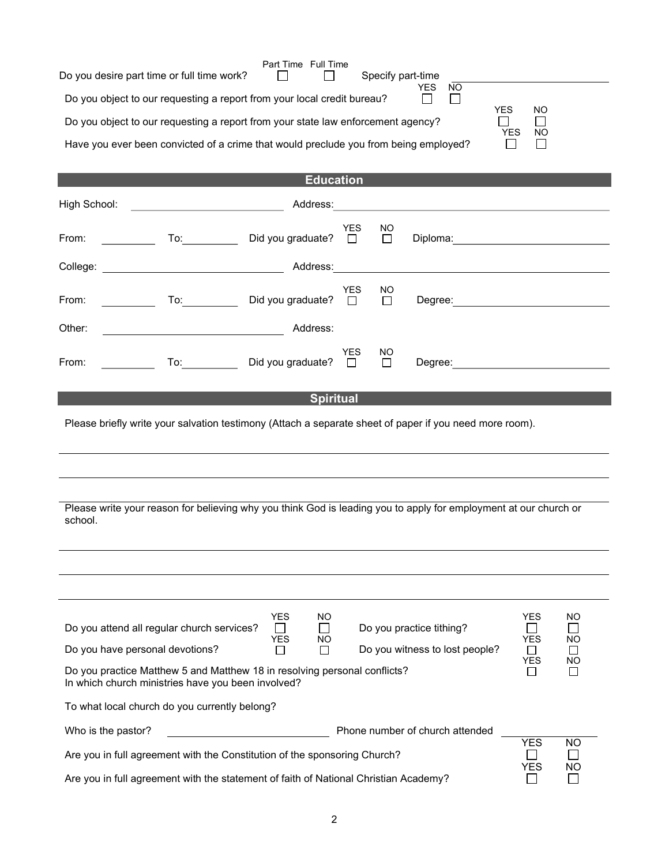|                                                                                                                                                                                                     | Part Time Full Time |                         |            |     |  |
|-----------------------------------------------------------------------------------------------------------------------------------------------------------------------------------------------------|---------------------|-------------------------|------------|-----|--|
| Do you desire part time or full time work?                                                                                                                                                          |                     | Specify part-time       |            |     |  |
| Do you object to our requesting a report from your local credit bureau?                                                                                                                             |                     | <b>YES</b><br><b>NO</b> | <b>YES</b> | NO. |  |
| Do you object to our requesting a report from your state law enforcement agency?<br><b>YES</b><br><b>NO</b><br>Have you ever been convicted of a crime that would preclude you from being employed? |                     |                         |            |     |  |
|                                                                                                                                                                                                     |                     |                         |            |     |  |
|                                                                                                                                                                                                     | <b>Education</b>    |                         |            |     |  |

| High School:                                                                                                                                                                                                                                                                                                                                                                  |                                 | Address:                                   |                      |              |                                                                                                         |                       |           |
|-------------------------------------------------------------------------------------------------------------------------------------------------------------------------------------------------------------------------------------------------------------------------------------------------------------------------------------------------------------------------------|---------------------------------|--------------------------------------------|----------------------|--------------|---------------------------------------------------------------------------------------------------------|-----------------------|-----------|
| From:<br><b>Contract Contract</b>                                                                                                                                                                                                                                                                                                                                             |                                 | Did you graduate? □                        | YES                  | NO<br>$\Box$ |                                                                                                         |                       |           |
|                                                                                                                                                                                                                                                                                                                                                                               |                                 | Address:                                   |                      |              |                                                                                                         |                       |           |
| From:<br>$\mathcal{L}=\frac{1}{2} \sum_{i=1}^{n} \frac{1}{2} \sum_{i=1}^{n} \frac{1}{2} \sum_{i=1}^{n} \frac{1}{2} \sum_{i=1}^{n} \frac{1}{2} \sum_{i=1}^{n} \frac{1}{2} \sum_{i=1}^{n} \frac{1}{2} \sum_{i=1}^{n} \frac{1}{2} \sum_{i=1}^{n} \frac{1}{2} \sum_{i=1}^{n} \frac{1}{2} \sum_{i=1}^{n} \frac{1}{2} \sum_{i=1}^{n} \frac{1}{2} \sum_{i=1}^{n} \frac{1}{2} \sum_{$ | $\mathsf{To:}\_\_\_\_\_\_\_\_\$ | Did you graduate?                          | <b>YES</b><br>$\Box$ | NO<br>$\Box$ | Degree: <u>www.community.com</u>                                                                        |                       |           |
| Other:                                                                                                                                                                                                                                                                                                                                                                        |                                 | Address:                                   |                      |              |                                                                                                         |                       |           |
| From:                                                                                                                                                                                                                                                                                                                                                                         |                                 | To: Did you graduate? □                    | <b>YES</b>           | NO<br>$\Box$ | Degree: <b>Example 2019</b>                                                                             |                       |           |
|                                                                                                                                                                                                                                                                                                                                                                               |                                 |                                            | <b>Spiritual</b>     |              |                                                                                                         |                       |           |
|                                                                                                                                                                                                                                                                                                                                                                               |                                 |                                            |                      |              | Please briefly write your salvation testimony (Attach a separate sheet of paper if you need more room). |                       |           |
|                                                                                                                                                                                                                                                                                                                                                                               |                                 |                                            |                      |              |                                                                                                         |                       |           |
|                                                                                                                                                                                                                                                                                                                                                                               |                                 |                                            |                      |              |                                                                                                         |                       |           |
| Please write your reason for believing why you think God is leading you to apply for employment at our church or                                                                                                                                                                                                                                                              |                                 |                                            |                      |              |                                                                                                         |                       |           |
| school.                                                                                                                                                                                                                                                                                                                                                                       |                                 |                                            |                      |              |                                                                                                         |                       |           |
|                                                                                                                                                                                                                                                                                                                                                                               |                                 |                                            |                      |              |                                                                                                         |                       |           |
|                                                                                                                                                                                                                                                                                                                                                                               |                                 |                                            |                      |              |                                                                                                         |                       |           |
|                                                                                                                                                                                                                                                                                                                                                                               |                                 |                                            |                      |              |                                                                                                         |                       |           |
| Do you attend all regular church services?                                                                                                                                                                                                                                                                                                                                    |                                 | <b>YES</b><br>NO.<br>$\perp$<br>YES<br>NO. |                      |              | Do you practice tithing?                                                                                | <b>YES</b><br>YES     | ΝO<br>NO  |
| Do you have personal devotions?                                                                                                                                                                                                                                                                                                                                               |                                 | П<br>$\perp$                               |                      |              | Do you witness to lost people?                                                                          | $\perp$<br><b>YES</b> | ΝO        |
| Do you practice Matthew 5 and Matthew 18 in resolving personal conflicts?<br>П<br>$\Box$<br>In which church ministries have you been involved?                                                                                                                                                                                                                                |                                 |                                            |                      |              |                                                                                                         |                       |           |
| To what local church do you currently belong?                                                                                                                                                                                                                                                                                                                                 |                                 |                                            |                      |              |                                                                                                         |                       |           |
| Who is the pastor?                                                                                                                                                                                                                                                                                                                                                            |                                 |                                            |                      |              | Phone number of church attended                                                                         |                       |           |
| Are you in full agreement with the Constitution of the sponsoring Church?                                                                                                                                                                                                                                                                                                     |                                 |                                            |                      |              |                                                                                                         | <b>YES</b>            | <b>NO</b> |
| <b>YES</b><br><b>NO</b><br>Are you in full agreement with the statement of faith of National Christian Academy?                                                                                                                                                                                                                                                               |                                 |                                            |                      |              |                                                                                                         |                       |           |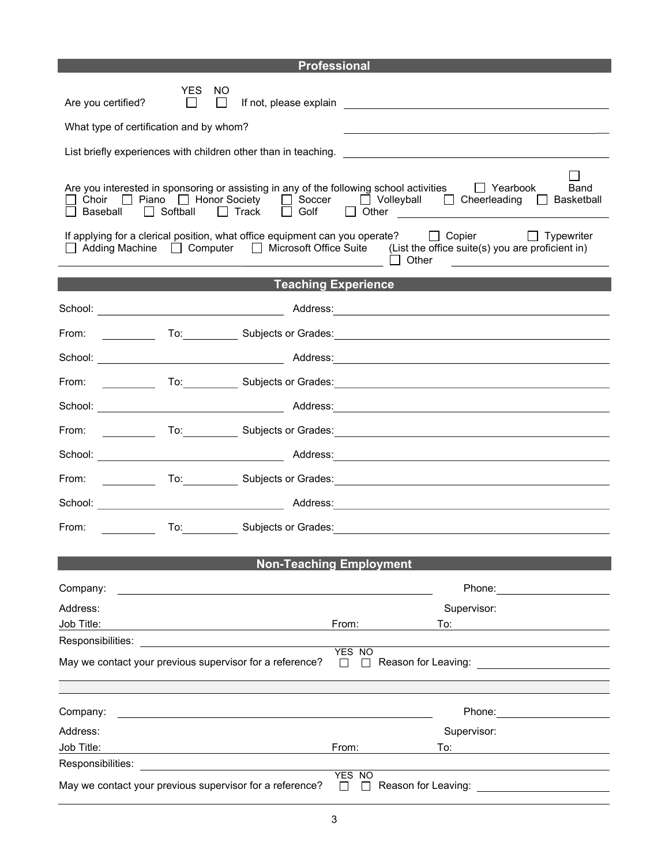|                                                                                                                |                 |               |                                                                                                                  | <b>Professional</b> |                                                                                                                                                                                                                                                                                                      |
|----------------------------------------------------------------------------------------------------------------|-----------------|---------------|------------------------------------------------------------------------------------------------------------------|---------------------|------------------------------------------------------------------------------------------------------------------------------------------------------------------------------------------------------------------------------------------------------------------------------------------------------|
| Are you certified?<br>What type of certification and by whom?                                                  | YES.<br>$\perp$ | NO.<br>$\Box$ |                                                                                                                  |                     |                                                                                                                                                                                                                                                                                                      |
|                                                                                                                |                 |               |                                                                                                                  |                     |                                                                                                                                                                                                                                                                                                      |
|                                                                                                                |                 |               |                                                                                                                  |                     |                                                                                                                                                                                                                                                                                                      |
|                                                                                                                |                 |               |                                                                                                                  |                     | Are you interested in sponsoring or assisting in any of the following school activities $\Box$ Yearbook<br>Band<br>□ Choir □ Piano □ Honor Society □ Soccer □ Volleyball □ Cheerleading □ Basketball<br>□ Baseball □ Softball □ Track □ Golf □ Other __________________________________              |
|                                                                                                                |                 |               | <u> 1990 - Johann Barbara, martxa alemaniar a</u>                                                                |                     | If applying for a clerical position, what office equipment can you operate? $\Box$ Copier $\Box$ Typewriter<br>$\Box$ Adding Machine $\Box$ Computer $\Box$ Microsoft Office Suite (List the office suite(s) you are proficient in)<br>$\Box$ Other<br><u> 1989 - Andrea Andrew Maria (h. 1989).</u> |
|                                                                                                                |                 |               | <b>Teaching Experience</b>                                                                                       |                     |                                                                                                                                                                                                                                                                                                      |
|                                                                                                                |                 |               |                                                                                                                  |                     |                                                                                                                                                                                                                                                                                                      |
| From:<br><u>and the state</u>                                                                                  |                 |               |                                                                                                                  |                     | To: Subjects or Grades: Network and Subjects or Grades: Network and Subjects or Grades: Network and Subjects o                                                                                                                                                                                       |
|                                                                                                                |                 |               |                                                                                                                  |                     |                                                                                                                                                                                                                                                                                                      |
| From:<br><u> 1990 - Jan Barnett, p</u>                                                                         |                 |               |                                                                                                                  |                     | To: Subjects or Grades: Network and the Contract of Subjects or Grades: Network and Subjects of Grades: Network and Subjects of Grades: Network and Subjects of Grades: Network and Subjects of Grades: Network and Subjects o                                                                       |
|                                                                                                                |                 |               |                                                                                                                  |                     |                                                                                                                                                                                                                                                                                                      |
| From:<br><u>and the state of the state</u>                                                                     |                 |               |                                                                                                                  |                     | To: Subjects or Grades: Network and the Contract of Subjects or Grades: Network and Subjects or Grades: Network                                                                                                                                                                                      |
|                                                                                                                |                 |               |                                                                                                                  |                     |                                                                                                                                                                                                                                                                                                      |
| From:                                                                                                          |                 |               |                                                                                                                  |                     | To: Contract Subjects or Grades: Contract of Subjects or Grades:                                                                                                                                                                                                                                     |
|                                                                                                                |                 |               |                                                                                                                  |                     |                                                                                                                                                                                                                                                                                                      |
| <u> 1999 - Jan Ja</u><br>From:                                                                                 |                 |               |                                                                                                                  |                     | To: Subjects or Grades: Subjects or Grades: Subjects or Grades: Subjects or Grades: Subjects of Subjects of Subjects of Subjects of Subjects of Subjects of Subjects of Subjects of Subjects of Subjects of Subjects of Subjec                                                                       |
|                                                                                                                |                 |               |                                                                                                                  |                     |                                                                                                                                                                                                                                                                                                      |
|                                                                                                                |                 |               | <b>Non-Teaching Employment</b>                                                                                   |                     |                                                                                                                                                                                                                                                                                                      |
| Company:                                                                                                       |                 |               |                                                                                                                  |                     |                                                                                                                                                                                                                                                                                                      |
| Address:                                                                                                       |                 |               |                                                                                                                  |                     | Supervisor:                                                                                                                                                                                                                                                                                          |
| Job Title:<br>Responsibilities:                                                                                |                 |               |                                                                                                                  | From:               | To:                                                                                                                                                                                                                                                                                                  |
| May we contact your previous supervisor for a reference?                                                       |                 |               |                                                                                                                  | YES NO<br>$\perp$   |                                                                                                                                                                                                                                                                                                      |
|                                                                                                                |                 |               |                                                                                                                  |                     |                                                                                                                                                                                                                                                                                                      |
|                                                                                                                |                 |               |                                                                                                                  |                     |                                                                                                                                                                                                                                                                                                      |
| Company:                                                                                                       |                 |               | and the control of the control of the control of the control of the control of the control of the control of the |                     | Phone: 2000                                                                                                                                                                                                                                                                                          |
| Address:<br>Job Title:                                                                                         |                 |               |                                                                                                                  | From:               | Supervisor:<br>To:                                                                                                                                                                                                                                                                                   |
| Responsibilities: Network and the set of the set of the set of the set of the set of the set of the set of the |                 |               |                                                                                                                  |                     |                                                                                                                                                                                                                                                                                                      |
| May we contact your previous supervisor for a reference?                                                       |                 |               |                                                                                                                  | YES NO              | $\square$ Reason for Leaving:                                                                                                                                                                                                                                                                        |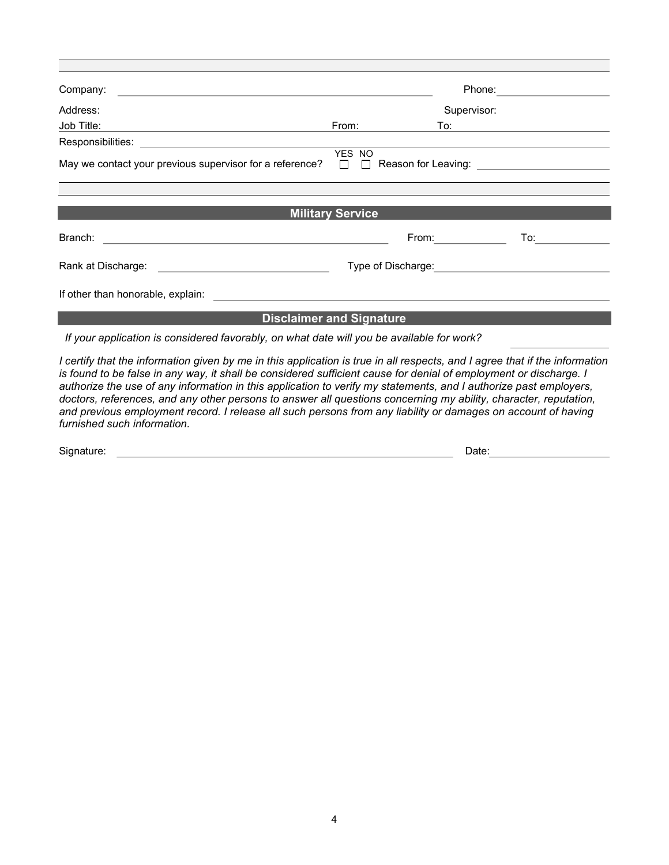| Company:                                                                                                                                  |                                 |                                                                                                                                                                                                                                | Phone: |
|-------------------------------------------------------------------------------------------------------------------------------------------|---------------------------------|--------------------------------------------------------------------------------------------------------------------------------------------------------------------------------------------------------------------------------|--------|
| Address:                                                                                                                                  |                                 | Supervisor:                                                                                                                                                                                                                    |        |
| Job Title:                                                                                                                                | From:                           | To:                                                                                                                                                                                                                            |        |
| Responsibilities:<br><u> 1980 - Jan Samuel Barbara, margaret e populazion del control del control del control del control de la provi</u> |                                 |                                                                                                                                                                                                                                |        |
| May we contact your previous supervisor for a reference? $\Box$ $\Box$ Reason for Leaving:                                                | YES NO                          |                                                                                                                                                                                                                                |        |
|                                                                                                                                           |                                 |                                                                                                                                                                                                                                |        |
|                                                                                                                                           | <b>Military Service</b>         |                                                                                                                                                                                                                                |        |
| Branch:<br><u> 1989 - Andrea Station Barbara (h. 1989).</u>                                                                               |                                 | From: The contract of the contract of the contract of the contract of the contract of the contract of the contract of the contract of the contract of the contract of the contract of the contract of the contract of the cont | To: To |
| Rank at Discharge:                                                                                                                        | Type of Discharge:              |                                                                                                                                                                                                                                |        |
| If other than honorable, explain:                                                                                                         |                                 |                                                                                                                                                                                                                                |        |
|                                                                                                                                           | <b>Disclaimer and Signature</b> |                                                                                                                                                                                                                                |        |

If your application is considered favorably, on what date will you be available for work?

I certify that the information given by me in this application is true in all respects, and I agree that if the information is found to be false in any way, it shall be considered sufficient cause for denial of employment or discharge. I authorize the use of any information in this application to verify my statements, and I authorize past employers, doctors, references, and any other persons to answer all questions concerning my ability, character, reputation, and previous employment record. I release all such persons from any liability or damages on account of having furnished such information.

| Sian<br>.<br>. . | Date: |  |
|------------------|-------|--|
|                  |       |  |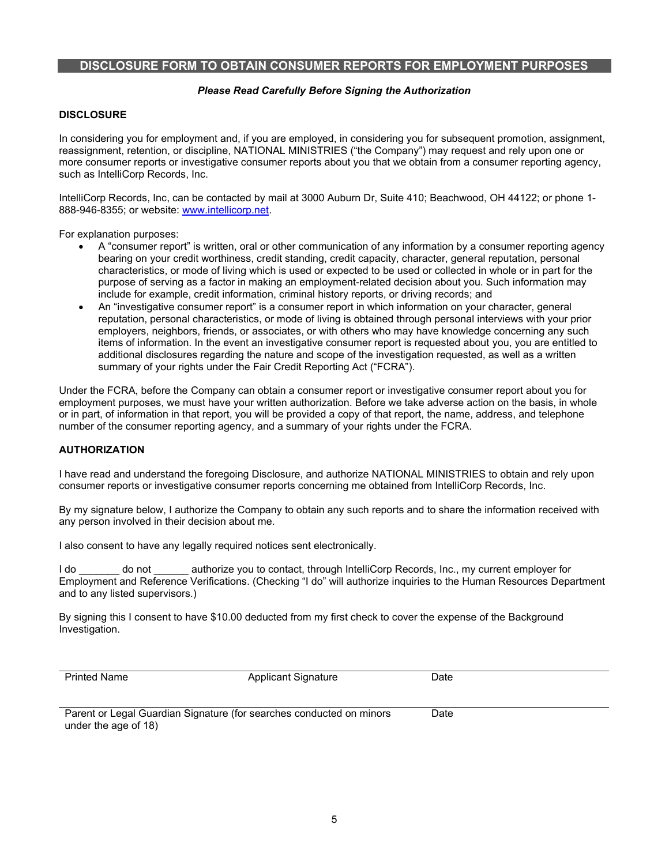## DISCLOSURE FORM TO OBTAIN CONSUMER REPORTS FOR EMPLOYMENT PURPOSES

### Please Read Carefully Before Signing the Authorization

## **DISCLOSURE**

In considering you for employment and, if you are employed, in considering you for subsequent promotion, assignment, reassignment, retention, or discipline, NATIONAL MINISTRIES ("the Company") may request and rely upon one or more consumer reports or investigative consumer reports about you that we obtain from a consumer reporting agency, such as IntelliCorp Records, Inc.

IntelliCorp Records, Inc, can be contacted by mail at 3000 Auburn Dr, Suite 410; Beachwood, OH 44122; or phone 1- 888-946-8355; or website: www.intellicorp.net.

For explanation purposes:

- A "consumer report" is written, oral or other communication of any information by a consumer reporting agency bearing on your credit worthiness, credit standing, credit capacity, character, general reputation, personal characteristics, or mode of living which is used or expected to be used or collected in whole or in part for the purpose of serving as a factor in making an employment-related decision about you. Such information may include for example, credit information, criminal history reports, or driving records; and
- An "investigative consumer report" is a consumer report in which information on your character, general reputation, personal characteristics, or mode of living is obtained through personal interviews with your prior employers, neighbors, friends, or associates, or with others who may have knowledge concerning any such items of information. In the event an investigative consumer report is requested about you, you are entitled to additional disclosures regarding the nature and scope of the investigation requested, as well as a written summary of your rights under the Fair Credit Reporting Act ("FCRA").

Under the FCRA, before the Company can obtain a consumer report or investigative consumer report about you for employment purposes, we must have your written authorization. Before we take adverse action on the basis, in whole or in part, of information in that report, you will be provided a copy of that report, the name, address, and telephone number of the consumer reporting agency, and a summary of your rights under the FCRA.

#### AUTHORIZATION

I have read and understand the foregoing Disclosure, and authorize NATIONAL MINISTRIES to obtain and rely upon consumer reports or investigative consumer reports concerning me obtained from IntelliCorp Records, Inc.

By my signature below, I authorize the Company to obtain any such reports and to share the information received with any person involved in their decision about me.

I also consent to have any legally required notices sent electronically.

I do do not authorize you to contact, through IntelliCorp Records, Inc., my current employer for Employment and Reference Verifications. (Checking "I do" will authorize inquiries to the Human Resources Department and to any listed supervisors.)

By signing this I consent to have \$10.00 deducted from my first check to cover the expense of the Background Investigation.

| <b>Printed Name</b>                                                  | Applicant Signature | Date |
|----------------------------------------------------------------------|---------------------|------|
| Parent or Legal Guardian Signature (for searches conducted on minors |                     | Date |

under the age of 18)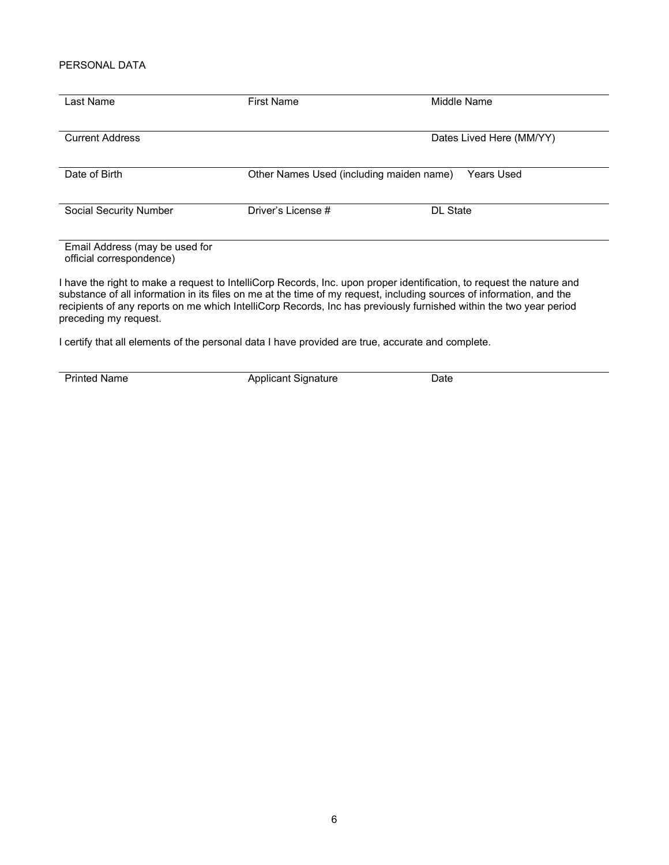## PERSONAL DATA

| Last Name                                                  | <b>First Name</b>                        | Middle Name                                                                                                                                                                                                                                                                                                                                                         |
|------------------------------------------------------------|------------------------------------------|---------------------------------------------------------------------------------------------------------------------------------------------------------------------------------------------------------------------------------------------------------------------------------------------------------------------------------------------------------------------|
| <b>Current Address</b>                                     |                                          | Dates Lived Here (MM/YY)                                                                                                                                                                                                                                                                                                                                            |
| Date of Birth                                              | Other Names Used (including maiden name) | Years Used                                                                                                                                                                                                                                                                                                                                                          |
| <b>Social Security Number</b>                              | Driver's License #                       | <b>DL State</b>                                                                                                                                                                                                                                                                                                                                                     |
| Email Address (may be used for<br>official correspondence) |                                          |                                                                                                                                                                                                                                                                                                                                                                     |
| preceding my request.                                      |                                          | I have the right to make a request to IntelliCorp Records, Inc. upon proper identification, to request the nature and<br>substance of all information in its files on me at the time of my request, including sources of information, and the<br>recipients of any reports on me which IntelliCorp Records, Inc has previously furnished within the two year period |

I certify that all elements of the personal data I have provided are true, accurate and complete.

Printed Name **Applicant Signature** Date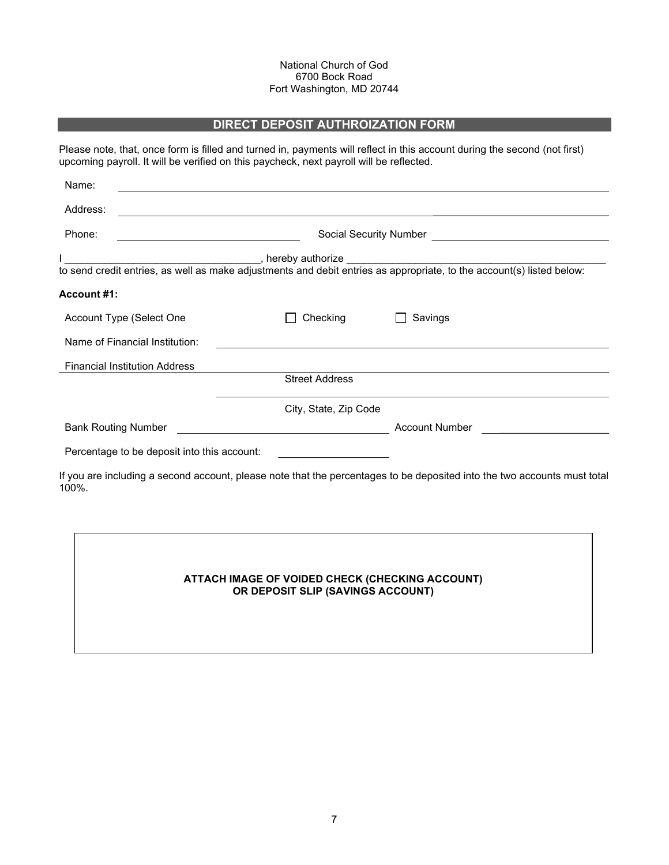### National Church of God 6700 Bock Road Fort Washington, MD 20744

## DIRECT DEPOSIT AUTHROIZATION FORM

Please note, that, once form is filled and turned in, payments will reflect in this account during the second (not first) upcoming payroll. It will be verified on this paycheck, next payroll will be reflected.

| Name:              |                                             |                                                                                                                       |                                                                                                                          |  |
|--------------------|---------------------------------------------|-----------------------------------------------------------------------------------------------------------------------|--------------------------------------------------------------------------------------------------------------------------|--|
| Address:           |                                             | <u> 1989 - Johann Stoff, amerikansk politiker (d. 1989)</u>                                                           |                                                                                                                          |  |
| Phone:             | <u> 1980 - Johann Barbara, martin a</u>     |                                                                                                                       |                                                                                                                          |  |
|                    |                                             |                                                                                                                       |                                                                                                                          |  |
|                    |                                             |                                                                                                                       |                                                                                                                          |  |
| <b>Account #1:</b> |                                             |                                                                                                                       |                                                                                                                          |  |
|                    | Account Type (Select One                    | Checking                                                                                                              | Savings                                                                                                                  |  |
|                    | Name of Financial Institution:              |                                                                                                                       |                                                                                                                          |  |
|                    | <b>Financial Institution Address</b>        |                                                                                                                       |                                                                                                                          |  |
|                    |                                             | <b>Street Address</b>                                                                                                 |                                                                                                                          |  |
|                    |                                             | City, State, Zip Code                                                                                                 |                                                                                                                          |  |
|                    | <b>Bank Routing Number</b>                  | <u> 1980 - Johann Barbara, martin da basar a shekara 1980 - An tsara 1980 - An tsara 1980 - An tsara 1980 - An ts</u> | Account Number <b>Account Number</b>                                                                                     |  |
|                    | Percentage to be deposit into this account: |                                                                                                                       |                                                                                                                          |  |
| 100%.              |                                             |                                                                                                                       | If you are including a second account, please note that the percentages to be deposited into the two accounts must total |  |
|                    |                                             |                                                                                                                       |                                                                                                                          |  |
|                    |                                             |                                                                                                                       |                                                                                                                          |  |

## ATTACH IMAGE OF VOIDED CHECK (CHECKING ACCOUNT) OR DEPOSIT SLIP (SAVINGS ACCOUNT)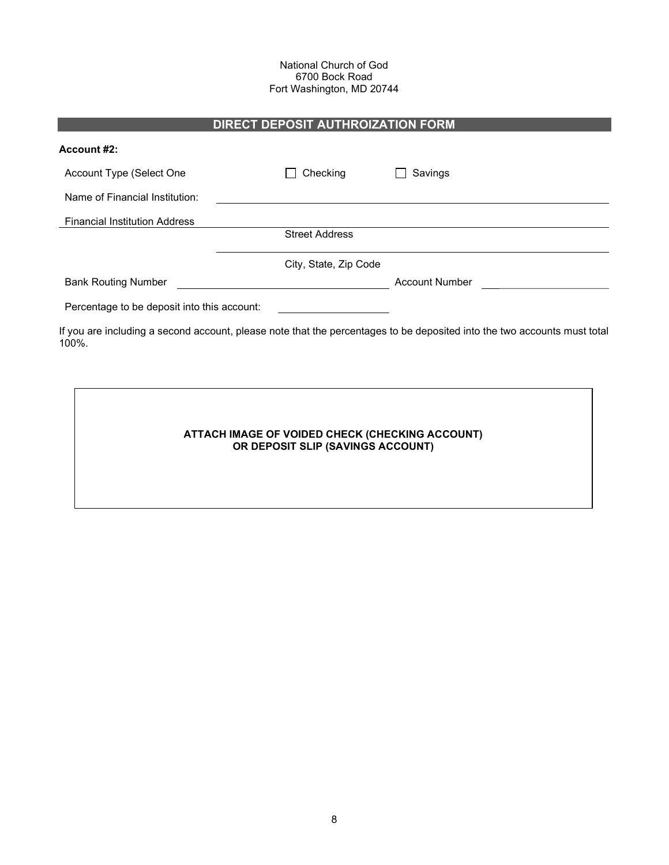### National Church of God 6700 Bock Road Fort Washington, MD 20744

# DIRECT DEPOSIT AUTHROIZATION FORM

| Account #2:                                 |                       |                                                                                                                          |
|---------------------------------------------|-----------------------|--------------------------------------------------------------------------------------------------------------------------|
| Account Type (Select One                    | Checking              | Savings                                                                                                                  |
| Name of Financial Institution:              |                       |                                                                                                                          |
| <b>Financial Institution Address</b>        |                       |                                                                                                                          |
|                                             | <b>Street Address</b> |                                                                                                                          |
|                                             | City, State, Zip Code |                                                                                                                          |
| <b>Bank Routing Number</b>                  |                       | <b>Account Number</b>                                                                                                    |
| Percentage to be deposit into this account: |                       |                                                                                                                          |
| 100%.                                       |                       | If you are including a second account, please note that the percentages to be deposited into the two accounts must total |
|                                             |                       |                                                                                                                          |

## ATTACH IMAGE OF VOIDED CHECK (CHECKING ACCOUNT) OR DEPOSIT SLIP (SAVINGS ACCOUNT)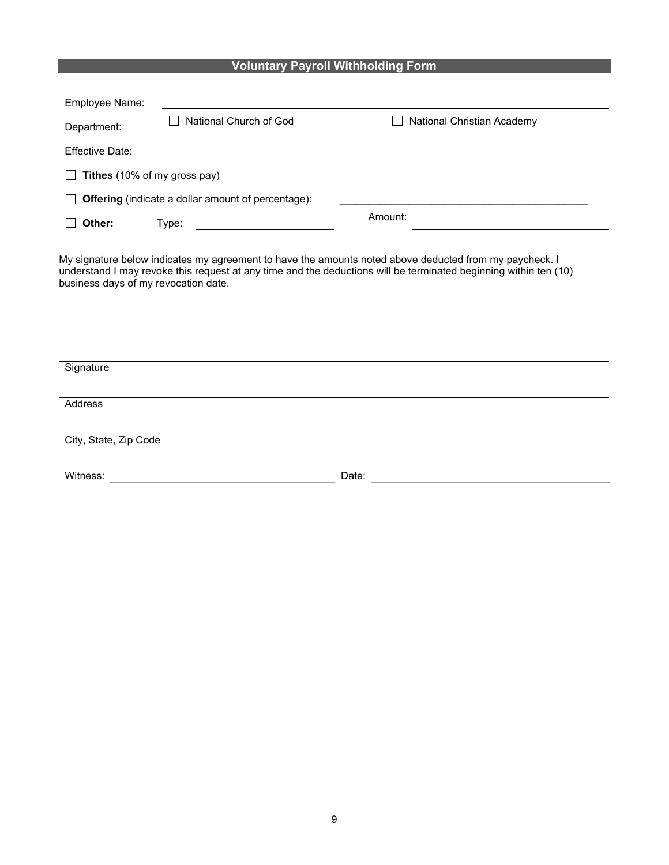# Voluntary Payroll Withholding Form

| Employee Name:                                                            |                        |                                   |  |  |
|---------------------------------------------------------------------------|------------------------|-----------------------------------|--|--|
| Department:                                                               | National Church of God | <b>National Christian Academy</b> |  |  |
| Effective Date:                                                           |                        |                                   |  |  |
| Tithes (10% of my gross pay)<br>$\mathbf{L}$                              |                        |                                   |  |  |
| <b>Offering</b> (indicate a dollar amount of percentage):<br>$\mathbf{L}$ |                        |                                   |  |  |
| Other:                                                                    | Type:                  | Amount:                           |  |  |

My signature below indicates my agreement to have the amounts noted above deducted from my paycheck. I understand I may revoke this request at any time and the deductions will be terminated beginning within ten (10) business days of my revocation date.

| Signature             |       |
|-----------------------|-------|
| Address               |       |
| City, State, Zip Code |       |
| Witness:              | Date: |